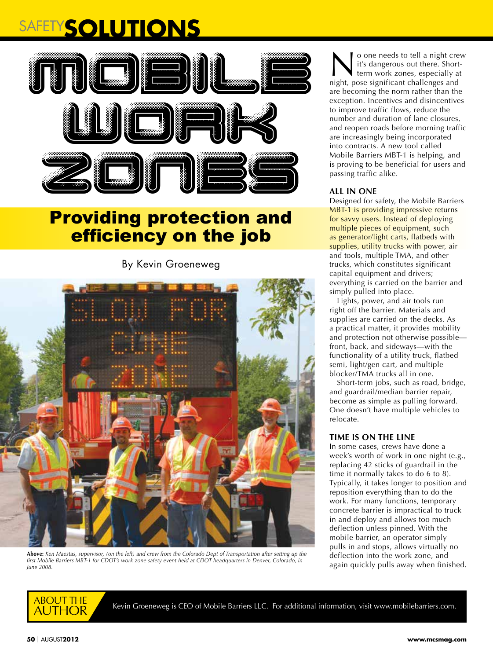# SAFETY**SOLUTIONS**



## Providing protection and efficiency on the job

By Kevin Groeneweg



**Above:** *Ken Maestas, supervisor, (on the left) and crew from the Colorado Dept of Transportation after setting up the*  first Mobile Barriers MBT-1 for CDOT's work zone safety event held at CDOT headquarters in Denver, Colorado, in *June 2008.*

o one needs to tell a night crew it's dangerous out there. Shortterm work zones, especially at night, pose significant challenges and are becoming the norm rather than the exception. Incentives and disincentives to improve traffic flows, reduce the number and duration of lane closures, and reopen roads before morning traffic are increasingly being incorporated into contracts. A new tool called Mobile Barriers MBT-1 is helping, and is proving to be beneficial for users and passing traffic alike.

### **ALL IN ONE**

Designed for safety, the Mobile Barriers MBT-1 is providing impressive returns for savvy users. Instead of deploying multiple pieces of equipment, such as generator/light carts, flatbeds with supplies, utility trucks with power, air and tools, multiple TMA, and other trucks, which constitutes significant capital equipment and drivers; everything is carried on the barrier and simply pulled into place.

Lights, power, and air tools run right off the barrier. Materials and supplies are carried on the decks. As a practical matter, it provides mobility and protection not otherwise possible front, back, and sideways—with the functionality of a utility truck, flatbed semi, light/gen cart, and multiple blocker/TMA trucks all in one.

Short-term jobs, such as road, bridge, and guardrail/median barrier repair, become as simple as pulling forward. One doesn't have multiple vehicles to relocate.

#### **TIME IS ON THE LINE**

In some cases, crews have done a week's worth of work in one night (e.g., replacing 42 sticks of guardrail in the time it normally takes to do 6 to 8). Typically, it takes longer to position and reposition everything than to do the work. For many functions, temporary concrete barrier is impractical to truck in and deploy and allows too much deflection unless pinned. With the mobile barrier, an operator simply pulls in and stops, allows virtually no deflection into the work zone, and again quickly pulls away when finished.



Kevin Groeneweg is CEO of Mobile Barriers LLC. For additional information, visit www.mobilebarriers.com.